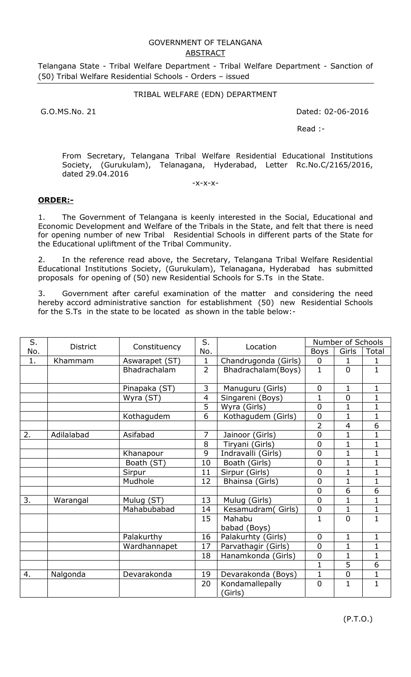## GOVERNMENT OF TELANGANA ABSTRACT

Telangana State - Tribal Welfare Department - Tribal Welfare Department - Sanction of (50) Tribal Welfare Residential Schools - Orders – issued

## TRIBAL WELFARE (EDN) DEPARTMENT

G.O.MS.No. 21 Dated: 02-06-2016

Read :-

From Secretary, Telangana Tribal Welfare Residential Educational Institutions Society, (Gurukulam), Telanagana, Hyderabad, Letter Rc.No.C/2165/2016, dated 29.04.2016

-x-x-x-

## **ORDER:-**

1. The Government of Telangana is keenly interested in the Social, Educational and Economic Development and Welfare of the Tribals in the State, and felt that there is need for opening number of new Tribal Residential Schools in different parts of the State for the Educational upliftment of the Tribal Community.

2. In the reference read above, the Secretary, Telangana Tribal Welfare Residential Educational Institutions Society, (Gurukulam), Telanagana, Hyderabad has submitted proposals for opening of (50) new Residential Schools for S.Ts in the State.

3. Government after careful examination of the matter and considering the need hereby accord administrative sanction for establishment (50) new Residential Schools for the S.Ts in the state to be located as shown in the table below:-

| S.  | <b>District</b> | Constituency   | S.<br>No.      | Location                   | Number of Schools |                |                |
|-----|-----------------|----------------|----------------|----------------------------|-------------------|----------------|----------------|
| No. |                 |                |                |                            | <b>Boys</b>       | Girls          | Total          |
| 1.  | Khammam         | Aswarapet (ST) | $\mathbf{1}$   | Chandrugonda (Girls)       | $\mathbf 0$       | 1              | 1              |
|     |                 | Bhadrachalam   | $\overline{2}$ | Bhadrachalam (Boys)        | $\mathbf{1}$      | $\overline{0}$ | $\mathbf{1}$   |
|     |                 | Pinapaka (ST)  | 3              | Manuguru (Girls)           | $\overline{0}$    | $\mathbf 1$    | $\mathbf 1$    |
|     |                 | Wyra (ST)      | 4              | Singareni (Boys)           | $\mathbf{1}$      | $\overline{0}$ | $\mathbf{1}$   |
|     |                 |                | 5              | Wyra (Girls)               | $\overline{0}$    | $\mathbf{1}$   | $\overline{1}$ |
|     |                 | Kothagudem     | 6              | Kothagudem (Girls)         | $\overline{0}$    | $\mathbf 1$    | $\mathbf 1$    |
|     |                 |                |                |                            | $\overline{2}$    | $\overline{4}$ | 6              |
| 2.  | Adilalabad      | Asifabad       | 7              | Jainoor (Girls)            | $\overline{0}$    | $\mathbf 1$    | $\overline{1}$ |
|     |                 |                | 8              | Tiryani (Girls)            | $\overline{0}$    | $\mathbf{1}$   | $\mathbf{1}$   |
|     |                 | Khanapour      | 9              | Indravalli (Girls)         | $\overline{0}$    | $\mathbf{1}$   | $\mathbf 1$    |
|     |                 | Boath (ST)     | 10             | Boath (Girls)              | $\overline{0}$    | $\mathbf 1$    | $\mathbf 1$    |
|     |                 | Sirpur         | 11             | Sirpur (Girls)             | $\mathbf 0$       | $\mathbf 1$    | $\mathbf{1}$   |
|     |                 | Mudhole        | 12             | Bhainsa (Girls)            | $\overline{0}$    | $\mathbf{1}$   | $\mathbf 1$    |
|     |                 |                |                |                            | $\overline{0}$    | 6              | $\overline{6}$ |
| 3.  | Warangal        | Mulug (ST)     | 13             | Mulug (Girls)              | $\overline{0}$    | $\mathbf 1$    | $\mathbf 1$    |
|     |                 | Mahabubabad    | 14             | Kesamudram(Girls)          | $\mathbf 0$       | $\mathbf 1$    | $\mathbf{1}$   |
|     |                 |                | 15             | Mahabu                     | $\mathbf{1}$      | $\overline{0}$ | $\overline{1}$ |
|     |                 |                |                | babad (Boys)               |                   |                |                |
|     |                 | Palakurthy     | 16             | Palakurhty (Girls)         | $\overline{0}$    | $\mathbf{1}$   | $\mathbf 1$    |
|     |                 | Wardhannapet   | 17             | Parvathagir (Girls)        | $\overline{0}$    | 1              | $\mathbf{1}$   |
|     |                 |                | 18             | Hanamkonda (Girls)         | $\overline{0}$    | $\mathbf{1}$   | $\mathbf{1}$   |
|     |                 |                |                |                            | $\mathbf{1}$      | $\overline{5}$ | $\overline{6}$ |
| 4.  | Nalgonda        | Devarakonda    | 19             | Devarakonda (Boys)         | $\mathbf 1$       | $\mathbf 0$    | $\mathbf 1$    |
|     |                 |                | 20             | Kondamallepally<br>(Girls) | $\overline{0}$    | $\mathbf{1}$   | $\mathbf{1}$   |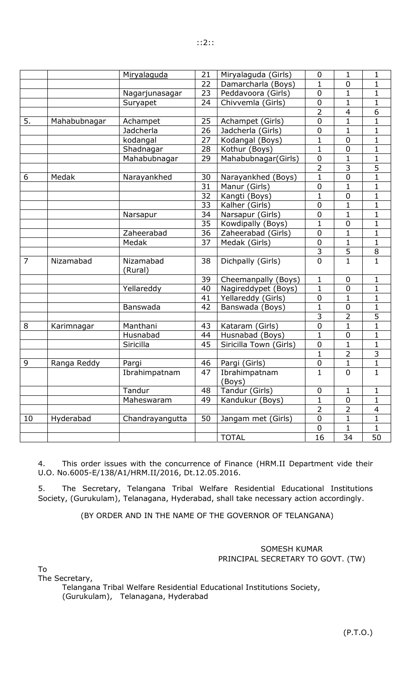|                |              | Miryalaquda          | 21              | Miryalaguda (Girls)     | 0              | $\mathbf{1}$     | $\mathbf{1}$   |
|----------------|--------------|----------------------|-----------------|-------------------------|----------------|------------------|----------------|
|                |              |                      | 22              | Damarcharla (Boys)      | $\mathbf{1}$   | $\boldsymbol{0}$ | $\mathbf{1}$   |
|                |              | Nagarjunasagar       | 23              | Peddavoora (Girls)      | $\mathbf 0$    | 1                | $\mathbf 1$    |
|                |              | Suryapet             | 24              | Chivvemla (Girls)       | $\mathbf 0$    | $\mathbf{1}$     | $\mathbf 1$    |
|                |              |                      |                 |                         | $\overline{2}$ | 4                | $\overline{6}$ |
| 5.             | Mahabubnagar | Achampet             | 25              | Achampet (Girls)        | $\overline{0}$ | $\mathbf{1}$     | $\mathbf{1}$   |
|                |              | Jadcherla            | 26              | Jadcherla (Girls)       | 0              | $\mathbf 1$      | $\mathbf 1$    |
|                |              | kodangal             | 27              | Kodangal (Boys)         | $\overline{1}$ | $\boldsymbol{0}$ | $\overline{1}$ |
|                |              | Shadnagar            | 28              | Kothur (Boys)           | $\mathbf{1}$   | $\pmb{0}$        | $\mathbf 1$    |
|                |              | Mahabubnagar         | 29              | Mahabubnagar(Girls)     | $\mathbf 0$    | $\mathbf{1}$     | $\mathbf{1}$   |
|                |              |                      |                 |                         | $\overline{2}$ | 3                | 5              |
| 6              | Medak        | Narayankhed          | 30              | Narayankhed (Boys)      | $\mathbf{1}$   | $\boldsymbol{0}$ | $\mathbf 1$    |
|                |              |                      | 31              | Manur (Girls)           | 0              | $\mathbf{1}$     | $\mathbf{1}$   |
|                |              |                      | 32              | Kangti (Boys)           | $\mathbf{1}$   | $\mathbf 0$      | $\mathbf{1}$   |
|                |              |                      | $\overline{33}$ | Kalher (Girls)          | $\mathbf 0$    | $\mathbf{1}$     | $\mathbf 1$    |
|                |              | Narsapur             | 34              | Narsapur (Girls)        | $\overline{0}$ | $\mathbf{1}$     | $\mathbf{1}$   |
|                |              |                      | 35              | Kowdipally (Boys)       | $\mathbf{1}$   | $\boldsymbol{0}$ | $\mathbf{1}$   |
|                |              | Zaheerabad           | $\overline{36}$ | Zaheerabad (Girls)      | $\mathbf 0$    | $\mathbf{1}$     | $\mathbf 1$    |
|                |              | Medak                | 37              | Medak (Girls)           | $\mathbf 0$    | $\mathbf{1}$     | $\mathbf 1$    |
|                |              |                      |                 |                         | $\overline{3}$ | 5                | 8              |
| $\overline{7}$ | Nizamabad    | Nizamabad<br>(Rural) | 38              | Dichpally (Girls)       | $\overline{0}$ | $\overline{1}$   | $\overline{1}$ |
|                |              |                      | 39              | Cheemanpally (Boys)     | $\mathbf{1}$   | $\mathbf 0$      | $\mathbf{1}$   |
|                |              | Yellareddy           | 40              | Nagireddypet (Boys)     | $\mathbf{1}$   | $\mathbf 0$      | $\mathbf{1}$   |
|                |              |                      | 41              | Yellareddy (Girls)      | 0              | $\mathbf{1}$     | $\mathbf 1$    |
|                |              | Banswada             | 42              | Banswada (Boys)         | $\overline{1}$ | $\mathbf 0$      | $\mathbf{1}$   |
|                |              |                      |                 |                         | $\overline{3}$ | $\overline{2}$   | $\overline{5}$ |
| 8              | Karimnagar   | Manthani             | 43              | Kataram (Girls)         | $\pmb{0}$      | $\mathbf{1}$     | $\overline{1}$ |
|                |              | Husnabad             | 44              | Husnabad (Boys)         | $\mathbf{1}$   | $\boldsymbol{0}$ | $\mathbf 1$    |
|                |              | Siricilla            | 45              | Siricilla Town (Girls)  | 0              | $\mathbf{1}$     | $\mathbf{1}$   |
|                |              |                      |                 |                         | $\mathbf{1}$   | $\overline{2}$   | 3              |
| 9              | Ranga Reddy  | Pargi                | 46              | Pargi (Girls)           | $\overline{0}$ | $\mathbf{1}$     | $\overline{1}$ |
|                |              | Ibrahimpatnam        | 47              | Ibrahimpatnam<br>(Boys) | 1              | $\mathbf 0$      | $\mathbf{1}$   |
|                |              | Tandur               | 48              | Tandur (Girls)          | $\pmb{0}$      | 1                | 1              |
|                |              | Maheswaram           | 49              | Kandukur (Boys)         | $\mathbf{1}$   | $\mathbf 0$      | $\mathbf 1$    |
|                |              |                      |                 |                         | $\overline{2}$ | $\overline{2}$   | 4              |
| 10             | Hyderabad    | Chandrayangutta      | 50              | Jangam met (Girls)      | $\pmb{0}$      | $\mathbf{1}$     | $\mathbf{1}$   |
|                |              |                      |                 |                         | $\mathbf 0$    | $\mathbf{1}$     | 1              |
|                |              |                      |                 | <b>TOTAL</b>            | 16             | 34               | 50             |
|                |              |                      |                 |                         |                |                  |                |

4. This order issues with the concurrence of Finance (HRM.II Department vide their U.O. No.6005-E/138/A1/HRM.II/2016, Dt.12.05.2016.

5. The Secretary, Telangana Tribal Welfare Residential Educational Institutions Society, (Gurukulam), Telanagana, Hyderabad, shall take necessary action accordingly.

(BY ORDER AND IN THE NAME OF THE GOVERNOR OF TELANGANA)

## SOMESH KUMAR PRINCIPAL SECRETARY TO GOVT. (TW)

To

The Secretary,

Telangana Tribal Welfare Residential Educational Institutions Society, (Gurukulam), Telanagana, Hyderabad